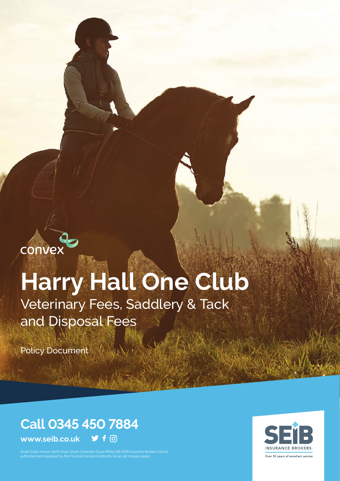convex

# **Harry Hall One Club**

Veterinary Fees, Saddlery & Tack and Disposal Fees

Policy Document

# **Call 0345 450 7884**

**www.seib.co.uk**  $\blacktriangleright$  f  $\lhd$ 

South Essex House, North Road, South Ockendon Essex RM15 5BE.SEIB Insurance Brokers Ltd are authorised and regulated by the Financial Conduct Authority. (local call charges apply)

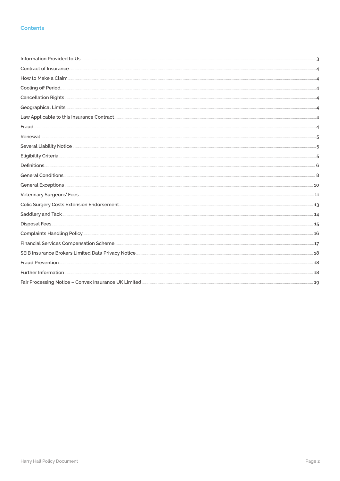#### **Contents**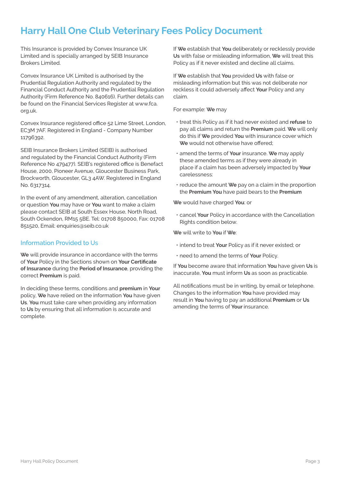### **Harry Hall One Club Veterinary Fees Policy Document**

This Insurance is provided by Convex Insurance UK Limited and is specially arranged by SEIB Insurance Brokers Limited.

Convex Insurance UK Limited is authorised by the Prudential Regulation Authority and regulated by the Financial Conduct Authority and the Prudential Regulation Authority (Firm Reference No. 840616). Further details can be found on the Financial Services Register at www.fca. org.uk.

Convex Insurance registered office 52 Lime Street, London, EC3M 7AF. Registered in England - Company Number 11796392.

SEIB Insurance Brokers Limited (SEIB) is authorised and regulated by the Financial Conduct Authority (Firm Reference No 479477). SEIB's registered office is Benefact House, 2000, Pioneer Avenue, Gloucester Business Park, Brockworth, Gloucester, GL3 4AW. Registered in England No. 6317314.

In the event of any amendment, alteration, cancellation or question **You** may have or **You** want to make a claim please contact SEIB at South Essex House, North Road, South Ockendon, RM15 5BE. Tel: 01708 850000, Fax: 01708 851520, Email: enquiries@seib.co.uk

#### **Information Provided to Us**

**We** will provide insurance in accordance with the terms of **Your** Policy in the Sections shown on **Your Certificate of Insurance** during the **Period of Insurance**, providing the correct **Premium** is paid.

In deciding these terms, conditions and **premium** in **Your**  policy, **We** have relied on the information **You** have given **Us**. **You** must take care when providing any information to **Us** by ensuring that all information is accurate and complete.

If **We** establish that **You** deliberately or recklessly provide **Us** with false or misleading information, **We** will treat this Policy as if it never existed and decline all claims.

If **We** establish that **You** provided **Us** with false or misleading information but this was not deliberate nor reckless it could adversely affect **Your** Policy and any claim.

For example: **We** may

- treat this Policy as if it had never existed and **refuse** to pay all claims and return the **Premium** paid. **We** will only do this if **We** provided **You** with insurance cover which **We** would not otherwise have offered;
- amend the terms of **Your** insurance. **We** may apply these amended terms as if they were already in place if a claim has been adversely impacted by **Your** carelessness:
- reduce the amount **We** pay on a claim in the proportion the **Premium You** have paid bears to the **Premium**

**We** would have charged **You**: or

• cancel **Your** Policy in accordance with the Cancellation Rights condition below.

**We** will write to **You** if **We**:

- intend to treat **Your** Policy as if it never existed; or
- need to amend the terms of **Your** Policy.

If **You** become aware that information **You** have given **Us** is inaccurate, **You** must inform **Us** as soon as practicable.

All notifications must be in writing, by email or telephone. Changes to the information **You** have provided may result in **You** having to pay an additional **Premium** or **Us**  amending the terms of **Your** insurance.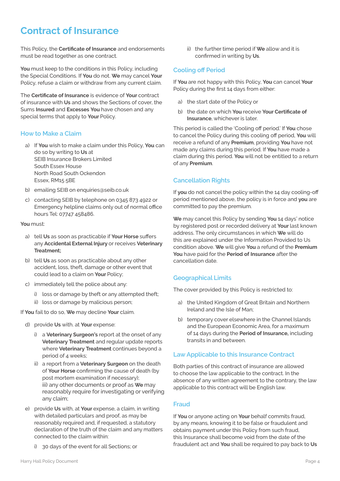### **Contract of Insurance**

This Policy, the **Certificate of Insurance** and endorsements must be read together as one contract.

**You** must keep to the conditions in this Policy, including the Special Conditions. If **You** do not. **We** may cancel **Your**  Policy, refuse a claim or withdraw from any current claim.

The **Certificate of Insurance** is evidence of **Your** contract of insurance with **Us** and shows the Sections of cover, the Sums **Insured** and **Excesses You** have chosen and any special terms that apply to **Your** Policy.

#### **How to Make a Claim**

- a) If **You** wish to make a claim under this Policy, **You** can do so by writing to **Us** at SEIB Insurance Brokers Limited South Essex House North Road South Ockendon Essex, RM15 5BE
- b) emailing SEIB on enquiries@seib.co.uk
- c) contacting SEIB by telephone on 0345 873 4922 or Emergency helpline claims only out of normal office hours Tel: 07747 458486.

#### **You** must:

- a) tell **Us** as soon as practicable if **Your Horse** suffers any **Accidental External Injury** or receives **Veterinary Treatment;**
- b) tell **Us** as soon as practicable about any other accident, loss, theft, damage or other event that could lead to a claim on **Your** Policy;
- c) immediately tell the police about any:
	- i) loss or damage by theft or any attempted theft;
	- ii) loss or damage by malicious person;

If **You** fail to do so, **We** may decline **Your** claim.

- d) provide **Us** with. at **Your** expense:
	- i) a **Veterinary Surgeon's** report at the onset of any **Veterinary Treatment** and regular update reports where **Veterinary Treatment** continues beyond a period of 4 weeks;
	- ii) a report from a **Veterinary Surgeon** on the death of **Your Horse** confirming the cause of death (by post mortem examination if necessary); iii) any other documents or proof as **We** may reasonably require for investigating or verifying any claim;
- e) provide **Us** with, at **Your** expense, a claim, in writing with detailed particulars and proof, as may be reasonably required and, if requested, a statutory declaration of the truth of the claim and any matters connected to the claim within:
	- i) 30 days of the event for all Sections; or

ii) the further time period if **We** allow and it is confirmed in writing by **Us**.

#### **Cooling off Period**

If **You** are not happy with this Policy, **You** can cancel **Your**  Policy during the first 14 days from either:

- a) the start date of the Policy or
- b) the date on which **You** receive **Your Certificate of Insurance**, whichever is later.

This period is called the 'Cooling off period.' If **You** chose to cancel the Policy during this cooling off period, **You** will receive a refund of any **Premium**, providing **You** have not made any claims during this period. If **You** have made a claim during this period. **You** will not be entitled to a return of any **Premium**.

#### **Cancellation Rights**

If **you** do not cancel the policy within the 14 day cooling-off period mentioned above, the policy is in force and **you** are committed to pay the premium.

**We** may cancel this Policy by sending **You** 14 days' notice by registered post or recorded delivery at **Your** last known address. The only circumstances in which **We** will do this are explained under the Information Provided to Us condition above. **We** will give **You** a refund of the **Premium You** have paid for the **Period of Insurance** after the cancellation date.

#### **Geographical Limits**

The cover provided by this Policy is restricted to:

- a) the United Kingdom of Great Britain and Northern Ireland and the Isle of Man;
- b) temporary cover elsewhere in the Channel Islands and the European Economic Area, for a maximum of 14 days during the **Period of Insurance,** including transits in and between.

#### **Law Applicable to this Insurance Contract**

Both parties of this contract of insurance are allowed to choose the law applicable to the contract. In the absence of any written agreement to the contrary, the law applicable to this contract will be English law.

#### **Fraud**

If **You** or anyone acting on **Your** behalf commits fraud, by any means, knowing it to be false or fraudulent and obtains payment under this Policy from such fraud, this Insurance shall become void from the date of the fraudulent act and **You** shall be required to pay back to **Us**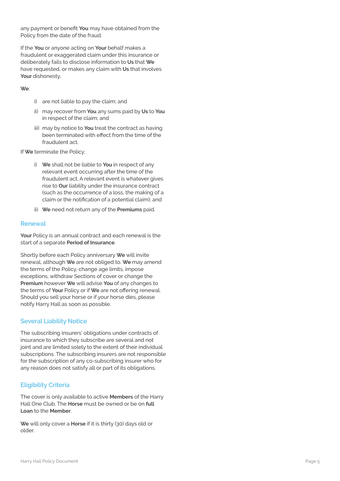any payment or benefit **You** may have obtained from the Policy from the date of the fraud.

If the **You** or anyone acting on **Your** behalf makes a fraudulent or exaggerated claim under this insurance or deliberately fails to disclose information to **Us** that **We**  have requested, or makes any claim with **Us** that involves Your dishonesty,

#### **We** :

- i) are not liable to pay the claim; and
- ii) may recover from **You** any sums paid by **Us** to **You**  in respect of the claim; and
- iii) may by notice to **You** treat the contract as having been terminated with effect from the time of the fraudulent act.

If **We** terminate the Policy:

- i) **We** shall not be liable to **You** in respect of any relevant event occurring after the time of the fraudulent act. A relevant event is whatever gives rise to **Our** liability under the insurance contract (such as the occurrence of a loss, the making of a claim or the notification of a potential claim); and
- ii) **We** need not return any of the **Premiums** paid.

#### **Renewal**

**Your** Policy is an annual contract and each renewal is the start of a separate **Period of Insurance** .

Shortly before each Policy anniversary **We** will invite renewal, although **We** are not obliged to. **We** may amend the terms of the Policy, change age limits, impose exceptions, withdraw Sections of cover or change the **Premium** however **We** will advise **You** of any changes to the terms of **Your** Policy or if **We** are not offering renewal. Should you sell your horse or if your horse dies, please notify Harry Hall as soon as possible.

#### **Several Liability Notice**

The subscribing insurers' obligations under contracts of insurance to which they subscribe are several and not joint and are limited solely to the extent of their individual subscriptions. The subscribing insurers are not responsible for the subscription of any co-subscribing insurer who for any reason does not satisfy all or part of its obligations.

#### **Eligibility Criteria**

The cover is only available to active **Members** of the Harry Hall One Club. The **Horse** must be owned or be on **full Loan** to the **Member** .

**We** will only cover a **Horse** if it is thirty (30) days old or older.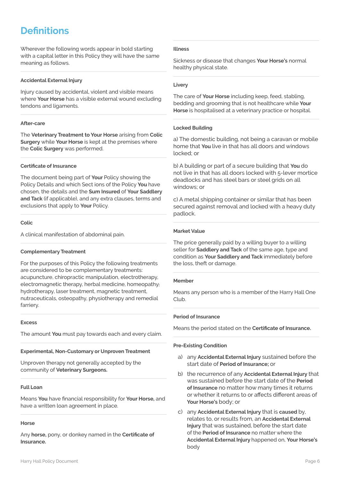### **Definitions**

Wherever the following words appear in bold starting with a capital letter in this Policy they will have the same meaning as follows.

#### **Accidental External Injury**

Injury caused by accidental, violent and visible means where **Your Horse** has a visible external wound excluding tendons and ligaments.

#### **After-care**

The **Veterinary Treatment to Your Horse** arising from **Colic Surgery** while **Your Horse** is kept at the premises where the **Colic Surgery** was performed.

#### **Certificate of Insurance**

The document being part of **Your** Policy showing the Policy Details and which Sect ions of the Policy **You** have chosen, the details and the **Sum Insured** of **Your Saddlery and Tack** (if applicable), and any extra clauses, terms and exclusions that apply to **Your** Policy.

#### **Colic**

A clinical manifestation of abdominal pain.

#### **Complementary Treatment**

For the purposes of this Policy the following treatments are considered to be complementary treatments: acupuncture, chiropractic manipulation, electrotherapy, electromagnetic therapy, herbal medicine, homeopathy, hydrotherapy, laser treatment, magnetic treatment, nutraceuticals, osteopathy, physiotherapy and remedial farriery.

#### **Excess**

The amount **You** must pay towards each and every claim.

#### **Experimental, Non-Customary or Unproven Treatment**

Unproven therapy not generally accepted by the community of **Veterinary Surgeons.**

#### **Full Loan**

Means **You** have financial responsibility for **Your Horse,** and have a written loan agreement in place.

#### **Horse**

Any **horse,** pony, or donkey named in the **Certificate of Insurance.**

#### **Illness**

Sickness or disease that changes **Your Horse's** normal healthy physical state.

#### **Livery**

The care of **Your Horse** including keep, feed, stabling, bedding and grooming that is not healthcare while **Your Horse** is hospitalised at a veterinary practice or hospital.

#### **Locked Building**

a) The domestic building, not being a caravan or mobile home that **You** live in that has all doors and windows locked; or

b) A building or part of a secure building that **You** do not live in that has all doors locked with 5-lever mortice deadlocks and has steel bars or steel grids on all windows; or

c) A metal shipping container or similar that has been secured against removal and locked with a heavy duty padlock.

#### **Market Value**

The price generally paid by a willing buyer to a willing seller for **Saddlery and Tack** of the same age, type and condition as **Your Saddlery and Tack** immediately before the loss, theft or damage.

#### **Member**

Means any person who is a member of the Harry Hall One Club.

#### **Period of Insurance**

Means the period stated on the **Certificate of Insurance.**

#### **Pre-Existing Condition**

- a) any **Accidental External Injury** sustained before the start date of **Period of Insurance;** or
- b) the recurrence of any **Accidental External Injury** that was sustained before the start date of the **Period of Insurance** no matter how many times it returns or whether it returns to or affects different areas of **Your Horse's** body; or
- c) any **Accidental External Injury** that is **caused** by, relates to, or results from, an **Accidental External Injury** that was sustained, before the start date of the **Period of Insurance** no matter where the **Accidental External Injury** happened on, **Your Horse's** body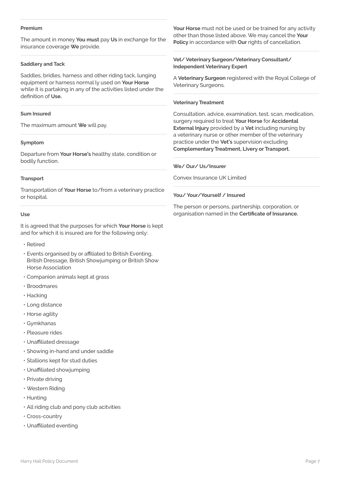#### **Premium**

The amount in money **You must** pay **Us** in exchange for the insurance coverage **We** provide.

#### **Saddlery and Tack**

Saddles, bridles, harness and other riding tack, lunging equipment or harness normal ly used on **Your Horse** while it is partaking in any of the activities listed under the definition of **Use.**

#### **Sum Insured**

The maximum amount **We** will pay.

#### **Symptom**

Departure from **Your Horse's** healthy state, condition or bodily function.

#### **Transport**

Transportation of **Your Horse** to/from a veterinary practice or hospital.

#### **Use**

It is agreed that the purposes for which **Your Horse** is kept and for which it is insured are for the following only:

• Retired

• Events organised by or affiliated to British Eventing, British Dressage, British Showjumping or British Show Horse Association

- Companion animals kept at grass
- Broodmares
- Hacking
- Long distance
- Horse agility
- Gymkhanas
- Pleasure rides
- Unaffiliated dressage
- Showing in-hand and under saddle
- Stallions kept for stud duties
- Unaffiliated showjumping
- Private driving
- Western Riding
- Hunting
- All riding club and pony club acitvities
- Cross-country
- Unaffiliated eventing

**Your Horse** must not be used or be trained for any activity other than those listed above. We may cancel the **Your Policy** in accordance with **Our** rights of cancellation.

#### **Vet/ Veterinary Surgeon/Veterinary Consultant/ Independent Veterinary Expert**

A **Veterinary Surgeon** registered with the Royal College of Veterinary Surgeons.

#### **Veterinary Treatment**

Consultation, advice, examination, test, scan, medication, surgery required to treat **Your Horse** for **Accidental External Injury** provided by a **Vet** including nursing by a veterinary nurse or other member of the veterinary practice under the **Vet's** supervision excluding **Complementary Treatment, Livery or Transport.**

#### **We/ Our/ Us/Insurer**

Convex Insurance UK Limited

#### **You/ Your/Yourself / Insured**

The person or persons, partnership, corporation, or organisation named in the **Certificate of Insurance.**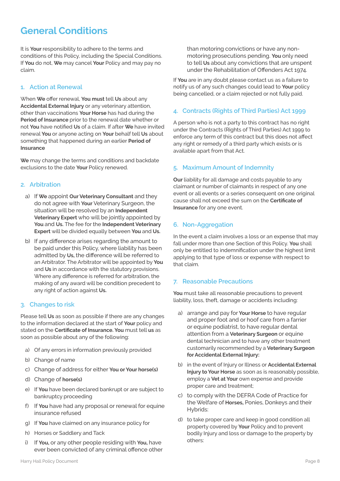### **General Conditions**

It is **Your** responsibility to adhere to the terms and conditions of this Policy, including the Special Conditions. If **You** do not, **We** may cancel **Your** Policy and may pay no claim.

#### **1. Action at Renewal**

When **We** offer renewal, **You must** tell **Us** about any **Accidental External Injury** or any veterinary attention, other than vaccinations **Your Horse** has had during the **Period of Insurance** prior to the renewal date whether or not **You** have notified **Us** of a claim. If after **We** have invited renewal **You** or anyone acting on **Your** behalf tell **Us** about something that happened during an earlier **Period of Insurance**

**We** may change the terms and conditions and backdate exclusions to the date **Your** Policy renewed.

#### **2. Arbitration**

- a) If **We** appoint **Our Veterinary Consultant** and they do not agree with **Your** Veterinary Surgeon, the situation will be resolved by an **Independent Veterinary Expert** who will be jointly appointed by **You** and **Us.** The fee for the **Independent Veterinary Expert** will be divided equally between **You** and **Us.**
- b) If any difference arises regarding the amount to be paid under this Policy, where liability has been admitted by **Us,** the difference will be referred to an Arbitrator. The Arbitrator will be appointed by **You**  and **Us** in accordance with the statutory provisions. Where any difference is referred for arbitration, the making of any award will be condition precedent to any right of action against **Us.**

#### **3. Changes to risk**

Please tell **Us** as soon as possible if there are any changes to the information declared at the start of **Your** policy and stated on the **Certificate of Insurance. You** must tell **us** as soon as possible about any of the following:

- a) Of any errors in information previously provided
- b) Change of name
- c) Change of address for either **You or Your horse(s)**
- d) Change of **horse(s)**
- e) If **You** have been declared bankrupt or are subject to bankruptcy proceeding
- f) If **You** have had any proposal or renewal for equine insurance refused
- g) If **You** have claimed on any insurance policy for
- h) Horses or Saddlery and Tack
- i) If **You**, or any other people residing with **You**, have ever been convicted of any criminal offence other

than motoring convictions or have any nonmotoring prosecutions pending. **You** only need to tell **Us** about any convictions that are unspent under the Rehabilitation of Offenders Act 1974.

If **You** are in any doubt please contact us as a failure to notify us of any such changes could lead to **Your** policy being cancelled, or a claim rejected or not fully paid.

#### **4. Contracts (Rights of Third Parties) Act 1999**

A person who is not a party to this contract has no right under the Contracts (Rights of Third Parties) Act 1999 to enforce any term of this contract but this does not affect any right or remedy of a third party which exists or is available apart from that Act.

#### **5. Maximum Amount of Indemnity**

**Our** liability for all damage and costs payable to any claimant or number of claimants in respect of any one event or all events or a series consequent on one original cause shall not exceed the sum on the **Certificate of Insurance** for any one event.

#### **6. Non-Aggregation**

In the event a claim involves a loss or an expense that may fall under more than one Section of this Policy. **You** shall only be entitled to indemnification under the highest limit applying to that type of loss or expense with respect to that claim.

#### **7. Reasonable Precautions**

**You** must take all reasonable precautions to prevent liability, loss, theft, damage or accidents including:

- a) arrange and pay for **Your Horse** to have regular and proper foot and or hoof care from a farrier or equine podiatrist, to have regular dental attention from a **Veterinary Surgeon** or equine dental technician and to have any other treatment customarily recommended by a **Veterinary Surgeon for Accidental External Injury:**
- b) in the event of Injury or Illness or **Accidental External Injury to Your Horse** as soon as is reasonably possible, employ a **Vet at Your** own expense and provide proper care and treatment;
- c) to comply with the DEFRA Code of Practice for the Welfare of **Horses,** Ponies, Donkeys and their Hybrids:
- d) to take proper care and keep in good condition all property covered by **Your** Policy and to prevent bodily Injury and loss or damage to the property by others: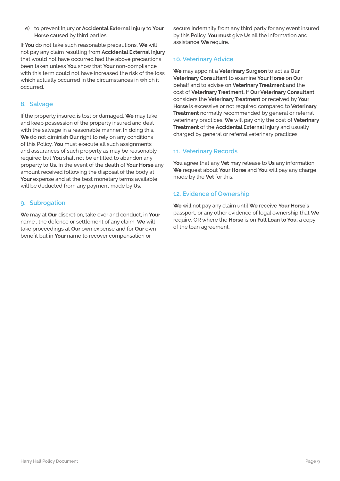e) to prevent Injury or **Accidental External Injury** to **Your Horse** caused by third parties.

If **You** do not take such reasonable precautions, **We** will not pay any claim resulting from **Accidental External Injury**  that would not have occurred had the above precautions been taken unless **You** show that **Your** non-compliance with this term could not have increased the risk of the loss which actually occurred in the circumstances in which it occurred.

#### **8. Salvage**

If the property insured is lost or damaged, **We** may take and keep possession of the property insured and deal with the salvage in a reasonable manner. In doing this, **We** do not diminish **Our** right to rely on any conditions of this Policy. **You** must execute all such assignments and assurances of such property as may be reasonably required but **You** shall not be entitled to abandon any property to **Us.** In the event of the death of **Your Horse** any amount received following the disposal of the body at Your expense and at the best monetary terms available will be deducted from any payment made by **Us.**

#### **9. Subrogation**

**We** may at **Our** discretion, take over and conduct, in **Your**  name , the defence or settlement of any claim. **We** will take proceedings at **Our** own expense and for **Our** own benefit but in **Your** name to recover compensation or

secure indemnity from any third party for any event insured by this Policy. **You must** give **Us** all the information and assistance **We** require.

#### **10. Veterinary Advice**

**We** may appoint a **Veterinary Surgeon** to act as **Our Veterinary Consultant** to examine **Your Horse** on **Our** behalf and to advise on **Veterinary Treatment** and the cost of **Veterinary Treatment.** If **Our Veterinary Consultant** considers the **Veterinary Treatment** or received by **Your Horse** is excessive or not required compared to **Veterinary Treatment** normally recommended by general or referral veterinary practices. **We** will pay only the cost of **Veterinary Treatment** of the **Accidental External Injury** and usually charged by general or referral veterinary practices.

#### **11. Veterinary Records**

**You** agree that any **Vet** may release to **Us** any information **We** request about **Your Horse** and **You** will pay any charge made by the **Vet** for this.

#### **12. Evidence of Ownership**

**We** will not pay any claim until **We** receive **Your Horse's** passport, or any other evidence of legal ownership that **We**  require, OR where the **Horse** is on **Full Loan to You,** a copy of the loan agreement.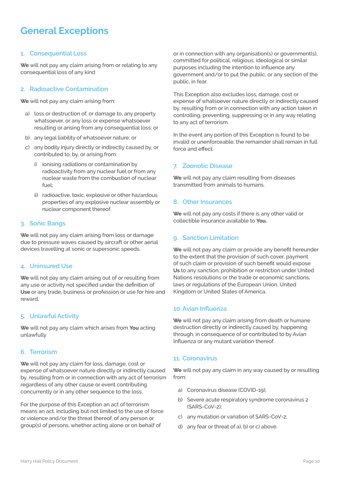### **General Exceptions**

#### **1. Consequential Loss**

**We** will not pay any claim arising from or relating to any consequential loss of any kind

#### **2. Radioactive Contamination**

**We** will not pay any claim arising from:

- a) loss or destruction of, or damage to, any property whatsoever, or any loss or expense whatsoever resulting or arising from any consequential loss; or
- b) any legal liability of whatsoever nature; or
- c) any bodily injury directly or indirectly caused by, or contributed to, by, or arising from:
	- i) ionising radiations or contamination by radioactivity from any nuclear fuel or from any nuclear waste from the combustion of nuclear fuel;
	- ii) radioactive, toxic, explosive or other hazardous properties of any explosive nuclear assembly or nuclear component thereof.

#### **3. Sonic Bangs**

**We** will not pay any claim arising from loss or damage due to pressure waves caused by aircraft or other aerial devices travelling at sonic or supersonic speeds.

#### **4. Uninsured Use**

**We** will not pay any claim arising out of or resulting from any use or activity not specified under the definition of **Use** or any trade, business or profession or use for hire and reward.

#### **5. Unlawful Activity**

**We** will not pay any claim which arises from **You** acting unlawfully

#### **6. Terrorism**

**We** will not pay any claim for loss, damage, cost or expense of whatsoever nature directly or indirectly caused by, resulting from or in connection with any act of terrorism regardless of any other cause or event contributing concurrently or in any other sequence to the loss.

For the purpose of this Exception an act of terrorism means an act, including but not limited to the use of force or violence and/or the threat thereof, of any person or group(s) of persons, whether acting alone or on behalf of

or in connection with any organisation(s) or government(s), committed for political, religious, ideological or similar purposes including the intention to influence any government and/or to put the public, or any section of the public, in fear.

This Exception also excludes loss, damage, cost or expense of whatsoever nature directly or indirectly caused by, resulting from or in connection with any action taken in controlling, preventing, suppressing or in any way relating to any act of terrorism.

In the event any portion of this Exception is found to be invalid or unenforceable, the remainder shall remain in full force and effect.

#### **7. Zoonotic Disease**

**We** will not pay any claim resulting from diseases transmitted from animals to humans.

#### **8. Other Insurances**

**We** will not pay any costs if there is any other valid or collectible insurance available to **You.**

#### **9. Sanction Limitation**

**We** will not pay any claim or provide any benefit hereunder to the extent that the provision of such cover, payment of such claim or provision of such benefit would expose **Us** to any sanction, prohibition or restriction under United Nations resolutions or the trade or economic sanctions, laws or regulations of the European Union, United Kingdom or United States of America.

#### **10. Avian Influenza**

**We** will not pay any claim arising from death or humane destruction directly or indirectly caused by, happening through, in consequence of or contributed to by Avian Influenza or any mutant variation thereof.

#### **11. Coronavirus**

**We** will not pay any claim in any way caused by or resulting from:

- a) Coronavirus disease (COVID-19);
- b) Severe acute respiratory syndrome coronavirus 2 (SARS-CoV-2);
- c) any mutation or variation of SARS-CoV-2;
- d) any fear or threat of a), b) or c) above.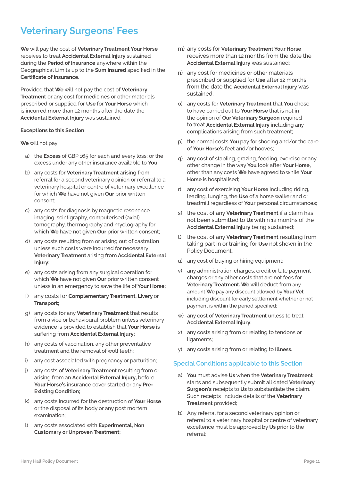### **Veterinary Surgeons' Fees**

**We** will pay the cost of **Veterinary Treatment Your Horse** receives to treat **Accidental External Injury** sustained during the **Period of Insurance** anywhere within the Geographical Limits up to the **Sum Insured** specified in the **Certificate of Insurance.**

Provided that **We** will not pay the cost of **Veterinary Treatment** or any cost for medicines or other materials prescribed or supplied for **Use** for **Your Horse** which is incurred more than 12 months after the date the **Accidental External Injury** was sustained.

#### **Exceptions to this Section**

**We** will not pay:

- a) the **Excess** of GBP 165 for each and every loss; or the excess under any other insurance available to **You**;
- b) any costs for **Veterinary Treatment** arising from referral for a second veterinary opinion or referral to a veterinary hospital or centre of veterinary excellence for which **We** have not given **Our** prior written consent;
- c) any costs for diagnosis by magnetic resonance imaging, scintigraphy, computerised (axial) tomography, thermography and myelography for which **We** have not given **Our** prior written consent;
- d) any costs resulting from or arising out of castration unless such costs were incurred for necessary **Veterinary Treatment** arising from **Accidental External Injury;**
- e) any costs arising from any surgical operation for which **We** have not given **Our** prior written consent unless in an emergency to save the life of **Your Horse;**
- f) any costs for **Complementary Treatment, Livery** or **Transport;**
- g) any costs for any **Veterinary Treatment** that results from a vice or behavioural problem unless veterinary evidence is provided to establish that **Your Horse** is suffering from **Accidental External Injury;**
- h) any costs of vaccination, any other preventative treatment and the removal of wolf teeth:
- i) any cost associated with pregnancy or parturition;
- j) any costs of **Veterinary Treatment** resulting from or arising from an **Accidental External Injury,** before **Your Horse's** insurance cover started or any **Pre-Existing Condition;**
- k) any costs incurred for the destruction of **Your Horse**  or the disposal of its body or any post mortem examination;
- l) any costs associated with **Experimental, Non Customary or Unproven Treatment;**
- m) any costs for **Veterinary Treatment Your Horse** receives more than 12 months from the date the **Accidental External Injury** was sustained;
- n) any cost for medicines or other materials prescribed or supplied for **Use** after 12 months from the date the **Accidental External Injury** was sustained;
- o) any costs for **Veterinary Treatment** that **You** chose to have carried out to **Your Horse** that is not in the opinion of **Our Veterinary Surgeon** required to treat **Accidental External Injury** including any complications arising from such treatment;
- p) the normal costs **You** pay for shoeing and/or the care of **Your Horse's** feet and/or hooves;
- q) any cost of stabling, grazing, feeding, exercise or any other change in the way **You** look after **Your Horse,**  other than any costs **We** have agreed to while **Your Horse** is hospitalised;
- r) any cost of exercising **Your Horse** including riding, leading, lunging, the **Use** of a horse walker and or treadmill regardless of **Your** personal circumstances;
- s) the cost of any **Veterinary Treatment** if a claim has not been submitted to **Us** within 12 months of the **Accidental External Injury** being sustained;
- t) the cost of any **Veterinary Treatment** resulting from taking part in or training for **Use** not shown in the Policy Document;
- u) any cost of buying or hiring equipment;
- v) any administration charges, credit or late payment charges or any other costs that are not fees for **Veterinary Treatment. We** will deduct from any amount **We** pay any discount allowed by **Your Vet** including discount for early settlement whether or not payment is within the period specified;
- w) any cost of **Veterinary Treatment** unless to treat **Accidental External Injury**:
- x) any costs arising from or relating to tendons or ligaments;
- y) any costs arising from or relating to **Illness.**

#### **Special Conditions applicable to this Section**

- a) **You** must advise **Us** when the **Veterinary Treatment**  starts and subsequently submit all dated **Veterinary Surgeon's** receipts to **Us** to substantiate the claim. Such receipts include details of the **Veterinary Treatment** provided;
- b) Any referral for a second veterinary opinion or referral to a veterinary hospital or centre of veterinary excellence must be approved by **Us** prior to the referral;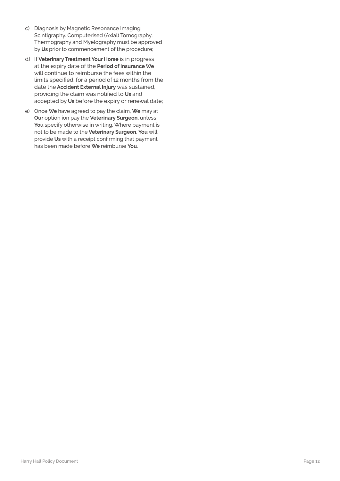- c) Diagnosis by Magnetic Resonance Imaging, Scintigraphy. Computerised (Axial) Tomography, Thermography and Myelography must be approved by **Us** prior to commencement of the procedure;
- d) If **Veterinary Treatment Your Horse** is in progress at the expiry date of the **Period of Insurance We**  will continue to reimburse the fees within the limits specified, for a period of 12 months from the date the **Accident External Injury** was sustained, providing the claim was notified to **Us** and accepted by **Us** before the expiry or renewal date;
- e) Once **We** have agreed to pay the claim, **We** may at **Our** option ion pay the **Veterinary Surgeon,** unless **You** specify otherwise in writing. Where payment is not to be made to the **Veterinary Surgeon, You** will provide **Us** with a receipt confirming that payment has been made before **We** reimburse **You**.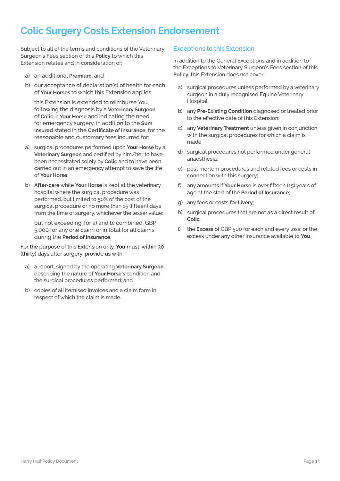### **Colic Surgery Costs Extension Endorsement**

Subject to all of the terms and conditions of the Veterinary Surgeon's Fees section of this **Policy** to which this Extension relates and in consideration of:

- a) an additional **Premium,** and
- b) our acceptance of declaration(s) of health for each of **Your Horses** to which this Extension applies,

this Extension is extended to reimburse You, following the diagnosis by a **Veterinary Surgeon** of **Colic** in **Your Horse** and indicating the need for emergency surgery, in addition to the **Sum Insured** stated in the **Certificate of Insurance**, for the reasonable and customary fees incurred for:

- a) surgical procedures performed upon **Your Horse** by a **Veterinary Surgeon** and certified by him/her to have been necessitated solely by **Colic** and to have been carried out in an emergency attempt to save the life of **Your Horse**;
- b) **After-care** while **Your Horse** is kept at the veterinary hospital where the surgical procedure was performed, but limited to 50% of the cost of the surgical procedure or no more than 15 (fifteen) days from the time of surgery, whichever the lesser value;

but not exceeding, for a) and b) combined, GBP 5,000 for any one claim or in total for all claims during the **Period of Insurance**.

For the purpose of this Extension only, **You** must, within 30 (thirty) days after surgery, provide us with:

- a) a report, signed by the operating **Veterinary Surgeon**, describing the nature of **Your Horse's** condition and the surgical procedures performed; and
- b) copies of all itemised invoices and a claim form in respect of which the claim is made.

#### **Exceptions to this Extension**

In addition to the General Exceptions and in addition to the Exceptions to Veterinary Surgeon's Fees section of this **Policy**, this Extension does not cover:

- a) surgical procedures unless performed by a veterinary surgeon in a duly recognised Equine Veterinary Hospital:
- b) any **Pre-Existing Condition** diagnosed or treated prior to the effective date of this Extension:
- c) any **Veterinary Treatment** unless given in conjunction with the surgical procedures for which a claim is made;
- d) surgical procedures not performed under general anaesthesia;
- e) post mortem procedures and related fees or costs in connection with this surgery;
- f) any amounts if **Your Horse** is over fifteen (15) years of age at the start of the **Period of Insurance**;
- g) any fees or costs for **Livery**;
- h) surgical procedures that are not as a direct result of **Colic**:
- i) the **Excess** of GBP 500 for each and every loss; or the excess under any other insurance available to **You**.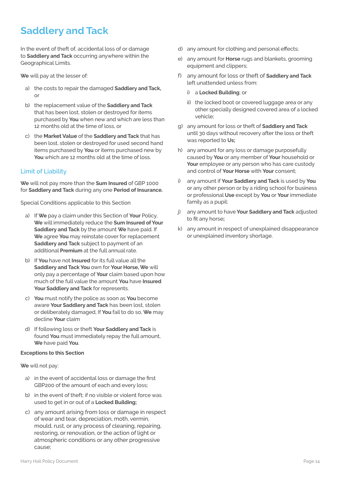### **Saddlery and Tack**

In the event of theft of, accidental loss of or damage to **Saddlery and Tack** occurring anywhere within the Geographical Limits.

**We** will pay at the lesser of:

- a) the costs to repair the damaged **Saddlery and Tack,**  or
- b) the replacement value of the **Saddlery and Tack** that has been lost, stolen or destroyed for items purchased by **You** when new and which are less than 12 months old at the time of loss, or
- c) the **Market Value** of the **Saddlery and Tack** that has been lost, stolen or destroyed for used second hand items purchased by **You** or items purchased new by **You** which are 12 months old at the time of loss.

#### **Limit of Liability**

**We** will not pay more than the **Sum Insured** of GBP 1000 for **Saddlery and Tack** during any one **Period of Insurance.**

Special Conditions applicable to this Section

- a) If **We** pay a claim under this Section of **Your** Policy, **We** will immediately reduce the **Sum Insured of Your Saddlery and Tack** by the amount **We** have paid. If **We** agree **You** may reinstate cover for replacement **Saddlery and Tack** subject to payment of an additional **Premium** at the full annual rate.
- b) If **You** have not **Insured** for its full value all the **Saddlery and Tack You** own for **Your Horse, We** will only pay a percentage of **Your** claim based upon how much of the full value the amount **You** have **Insured Your Saddlery and Tack** for represents.
- c) **You** must notify the police as soon as **You** become aware **Your Saddlery and Tack** has been lost, stolen or deliberately damaged, If **You** fail to do so, **We** may decline **Your** claim
- d) If following loss or theft **Your Saddlery and Tack** is found **You** must immediately repay the full amount, **We** have paid **You**.

#### **Exceptions to this Section**

**We** will not pay:

- a) in the event of accidental loss or damage the first GBP200 of the amount of each and every loss;
- b) in the event of theft; if no visible or violent force was used to get in or out of a **Locked Building;**
- c) any amount arising from loss or damage in respect of wear and tear, depreciation, moth, vermin, mould, rust, or any process of cleaning, repairing, restoring, or renovation, or the action of light or atmospheric conditions or any other progressive cause;
- d) any amount for clothing and personal effects;
- e) any amount for **Horse** rugs and blankets, grooming equipment and clippers;
- f) any amount for loss or theft of **Saddlery and Tack** left unattended unless from:
	- i) a **Locked Building**; or
	- ii) the locked boot or covered luggage area or any other specially designed covered area of a locked vehicle;
- g) any amount for loss or theft of **Saddlery and Tack** until 30 days without recovery after the loss or theft was reported to **Us;**
- h) any amount for any loss or damage purposefully caused by **You** or any member of **Your** household or **Your** employee or any person who has care custody and control of **Your Horse** with **Your** consent;
- any amount if **Your Saddlery and Tack** is used by **You** or any other person or by a riding school for business or professional **Use** except by **You** or **Your** immediate family as a pupil:
- j) any amount to have **Your Saddlery and Tack** adjusted to fit any horse**;**
- k) any amount in respect of unexplained disappearance or unexplained inventory shortage.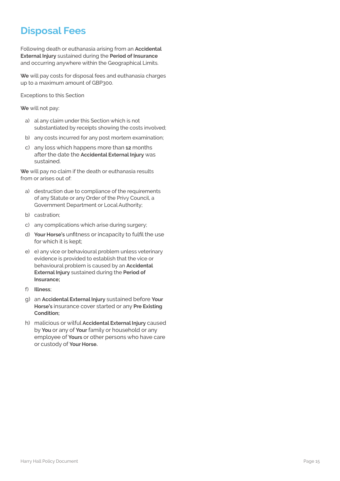### **Disposal Fees**

Following death or euthanasia arising from an **Accidental External Injury** sustained during the **Period of Insurance** and occurring anywhere within the Geographical Limits.

**We** will pay costs for disposal fees and euthanasia charges up to a maximum amount of GBP300.

Exceptions to this Section

**We** will not pay:

- a) al any claim under this Section which is not substantiated by receipts showing the costs involved;
- b) any costs incurred for any post mortem examination;
- c) any loss which happens more than **12** months after the date the **Accidental External Injury** was sustained.

**We** will pay no claim if the death or euthanasia results from or arises out of:

- a) destruction due to compliance of the requirements of any Statute or any Order of the Privy Council, a Government Department or Local Authority;
- b) castration;
- c) any complications which arise during surgery;
- d) **Your Horse's** unfitness or incapacity to fulfil the use for which it is kept;
- e) e) any vice or behavioural problem unless veterinary evidence is provided to establish that the vice or behavioural problem is caused by an **Accidental External Injury** sustained during the **Period of Insurance;**
- f) **Illness**;
- g) an **Accidental External Injury** sustained before **Your Horse's** insurance cover started or any **Pre Existing Condition;**
- h) malicious or wilful **Accidental External Injury** caused by **You** or any of **Your** family or household or any employee of **Yours** or other persons who have care or custody of **Your Horse.**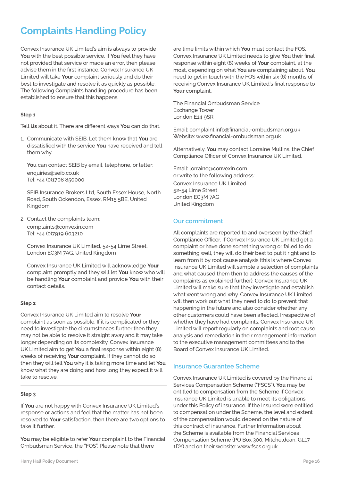### **Complaints Handling Policy**

Convex Insurance UK Limited's aim is always to provide **You** with the best possible service. If **You** feel they have not provided that service or made an error, then please advise them in the first instance. Convex Insurance UK Limited will take **Your** complaint seriously and do their best to investigate and resolve it as quickly as possible. The following Complaints handling procedure has been established to ensure that this happens.

#### **Step 1**

Tell **Us** about it. There are different ways **You** can do that.

1. Communicate with SEIB. Let them know that **You** are dissatisfied with the service **You** have received and tell them why.

**You** can contact SEIB by email, telephone, or letter: enquiries@seib.co.uk Tel: +44 (0)1708 850000

SEIB Insurance Brokers Ltd, South Essex House, North Road, South Ockendon, Essex, RM15 5BE, United Kingdom

2. Contact the complaints team:

complaints@convexin.com Tel: +44 (0)7919 603210

Convex Insurance UK Limited, 52-54 Lime Street, London EC3M 7AG, United Kingdom

Convex Insurance UK Limited will acknowledge **Your** complaint promptly and they will let **You** know who will be handling **Your** complaint and provide **You** with their contact details.

#### **Step 2**

Convex Insurance UK Limited aim to resolve **Your** complaint as soon as possible. If it is complicated or they need to investigate the circumstances further then they may not be able to resolve it straight away and it may take longer depending on its complexity. Convex Insurance UK Limited aim to get **You** a final response within eight (8) weeks of receiving **Your** complaint. If they cannot do so then they will tell **You** why it is taking more time and let **You** know what they are doing and how long they expect it will take to resolve.

#### **Step 3**

If **You** are not happy with Convex Insurance UK Limited's response or actions and feel that the matter has not been resolved to **Your** satisfaction, then there are two options to take it further.

**You** may be eligible to refer **Your** complaint to the Financial Ombudsman Service, the "FOS". Please note that there

response within eight (8) weeks of **Your** complaint, at the most, depending on what **You** are complaining about. **You** need to get in touch with the FOS within six (6) months of receiving Convex Insurance UK Limited's final response to **Your** complaint. The Financial Ombudsman Service

Exchange Tower London E14 9SR

Email: complaint.info@financial-ombudsman.org.uk Website: www.financial-ombudsman.org.uk

are time limits within which **You** must contact the FOS. Convex Insurance UK Limited needs to give **You** their final

Alternatively, **You** may contact Lorraine Mullins, the Chief Compliance Officer of Convex Insurance UK Limited.

Email: lorraine@convexin.com or write to the following address: Convex Insurance UK Limited 52-54 Lime Street London EC3M 7AG United Kingdom

#### **Our commitment**

All complaints are reported to and overseen by the Chief Compliance Officer. If Convex Insurance UK Limited get a complaint or have done something wrong or failed to do something well, they will do their best to put it right and to learn from it by root cause analysis (this is where Convex Insurance UK Limited will sample a selection of complaints and what caused them then to address the causes of the complaints as explained further). Convex Insurance UK Limited will make sure that they investigate and establish what went wrong and why. Convex Insurance UK Limited will then work out what they need to do to prevent that happening in the future and also consider whether any other customers could have been affected. Irrespective of whether they have had complaints, Convex Insurance UK Limited will report regularly on complaints and root cause analysis and remediation in their management information to the executive management committees and to the Board of Convex Insurance UK Limited.

#### **Insurance Guarantee Scheme**

Convex Insurance UK Limited is covered by the Financial Services Compensation Scheme ("FSCS"). **You** may be entitled to compensation from the Scheme if Convex Insurance UK Limited is unable to meet its obligations under this Policy of insurance. If the Insured were entitled to compensation under the Scheme, the level and extent of the compensation would depend on the nature of this contract of insurance. Further Information about the Scheme is available from the Financial Services Compensation Scheme (PO Box 300, Mitcheldean, GL17 1DY) and on their website: www.fscs.org.uk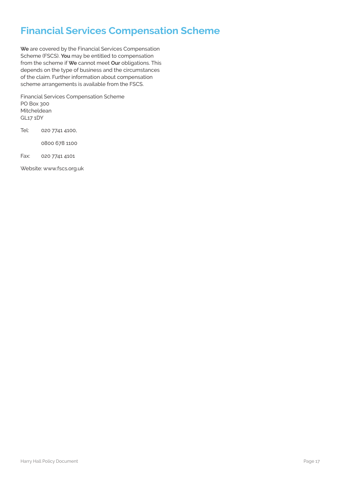### **Financial Services Compensation Scheme**

**We** are covered by the Financial Services Compensation Scheme (FSCS). **You** may be entitled to compensation from the scheme if **We** cannot meet **Our** obligations. This depends on the type of business and the circumstances of the claim. Further information about compensation scheme arrangements is available from the FSCS.

Financial Services Compensation Scheme PO Box 300 Mitcheldean GL17 1DY

Tel: 020 7741 4100,

0800 678 1100

Fax: 020 7741 4101

Website: www.fscs.org.uk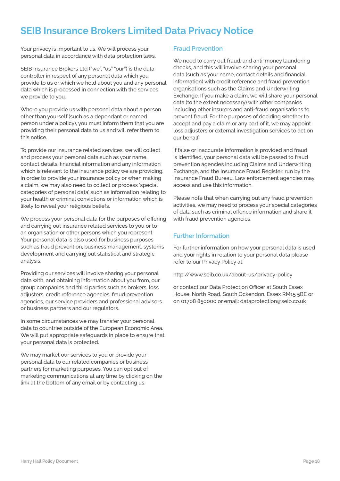### **SEIB Insurance Brokers Limited Data Privacy Notice**

Your privacy is important to us. We will process your personal data in accordance with data protection laws.

SEIB Insurance Brokers Ltd ("we", "us" "our") is the data controller in respect of any personal data which you provide to us or which we hold about you and any personal data which is processed in connection with the services we provide to you.

Where you provide us with personal data about a person other than yourself (such as a dependant or named person under a policy), you must inform them that you are providing their personal data to us and will refer them to this notice.

To provide our insurance related services, we will collect and process your personal data such as your name, contact details, financial information and any information which is relevant to the insurance policy we are providing. In order to provide your insurance policy or when making a claim, we may also need to collect or process 'special categories of personal data' such as information relating to your health or criminal convictions or information which is likely to reveal your religious beliefs.

We process your personal data for the purposes of offering and carrying out insurance related services to you or to an organisation or other persons which you represent. Your personal data is also used for business purposes such as fraud prevention, business management, systems development and carrying out statistical and strategic analysis.

Providing our services will involve sharing your personal data with, and obtaining information about you from, our group companies and third parties such as brokers, loss adjusters, credit reference agencies, fraud prevention agencies, our service providers and professional advisors or business partners and our regulators.

In some circumstances we may transfer your personal data to countries outside of the European Economic Area. We will put appropriate safeguards in place to ensure that your personal data is protected.

We may market our services to you or provide your personal data to our related companies or business partners for marketing purposes. You can opt out of marketing communications at any time by clicking on the link at the bottom of any email or by contacting us.

#### **Fraud Prevention**

We need to carry out fraud, and anti-money laundering checks, and this will involve sharing your personal data (such as your name, contact details and financial information) with credit reference and fraud prevention organisations such as the Claims and Underwriting Exchange. If you make a claim, we will share your personal data (to the extent necessary) with other companies including other insurers and anti-fraud organisations to prevent fraud. For the purposes of deciding whether to accept and pay a claim or any part of it, we may appoint loss adjusters or external investigation services to act on our behalf.

If false or inaccurate information is provided and fraud is identified, your personal data will be passed to fraud prevention agencies including Claims and Underwriting Exchange, and the Insurance Fraud Register, run by the Insurance Fraud Bureau. Law enforcement agencies may access and use this information.

Please note that when carrying out any fraud prevention activities, we may need to process your special categories of data such as criminal offence information and share it with fraud prevention agencies.

#### **Further Information**

For further information on how your personal data is used and your rights in relation to your personal data please refer to our Privacy Policy at:

http://www.seib.co.uk/about-us/privacy-policy

or contact our Data Protection Officer at South Essex House, North Road, South Ockendon, Essex RM15 5BE or on 01708 850000 or email: dataprotection@seib.co.uk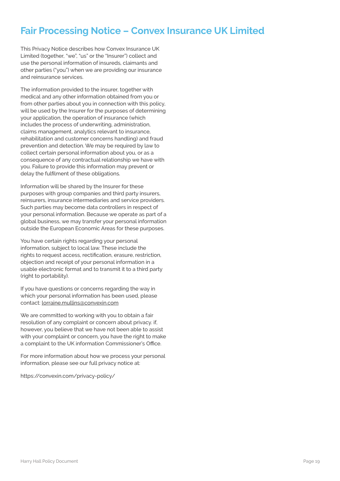### **Fair Processing Notice – Convex Insurance UK Limited**

This Privacy Notice describes how Convex Insurance UK Limited (together, "we", "us" or the "Insurer") collect and use the personal information of insureds, claimants and other parties ("you") when we are providing our insurance and reinsurance services.

The information provided to the insurer, together with medical and any other information obtained from you or from other parties about you in connection with this policy, will be used by the Insurer for the purposes of determining your application, the operation of insurance (which includes the process of underwriting, administration, claims management, analytics relevant to insurance, rehabilitation and customer concerns handling) and fraud prevention and detection. We may be required by law to collect certain personal information about you, or as a consequence of any contractual relationship we have with you. Failure to provide this information may prevent or delay the fulfilment of these obligations.

Information will be shared by the Insurer for these purposes with group companies and third party insurers, reinsurers, insurance intermediaries and service providers. Such parties may become data controllers in respect of your personal information. Because we operate as part of a global business, we may transfer your personal information outside the European Economic Areas for these purposes.

You have certain rights regarding your personal information, subject to local law. These include the rights to request access, rectification, erasure, restriction, objection and receipt of your personal information in a usable electronic format and to transmit it to a third party (right to portability).

If you have questions or concerns regarding the way in which your personal information has been used, please contact: lorraine.mullins@convexin.com

We are committed to working with you to obtain a fair resolution of any complaint or concern about privacy. if, however, you believe that we have not been able to assist with your complaint or concern, you have the right to make a complaint to the UK information Commissioner's Office.

For more information about how we process your personal information, please see our full privacy notice at:

https://convexin.com/privacy-policy/